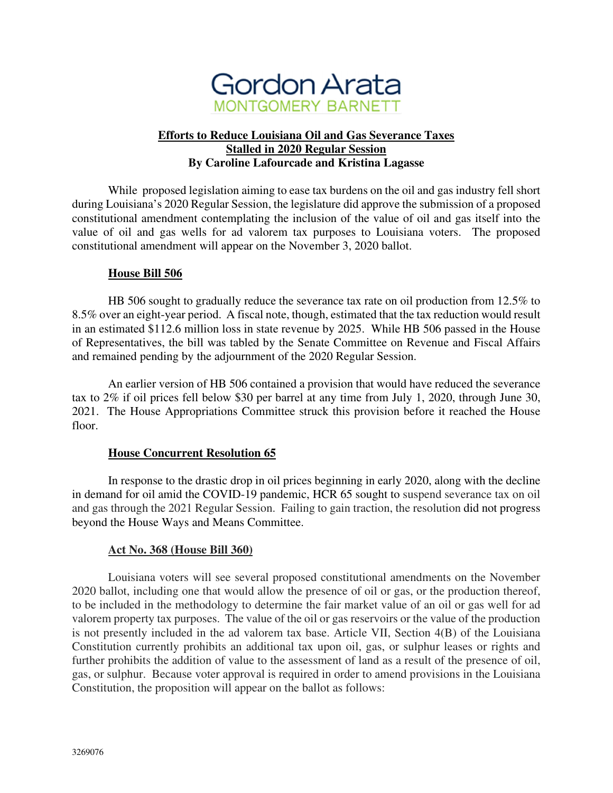

## **Efforts to Reduce Louisiana Oil and Gas Severance Taxes Stalled in 2020 Regular Session By Caroline Lafourcade and Kristina Lagasse**

While proposed legislation aiming to ease tax burdens on the oil and gas industry fell short during Louisiana's 2020 Regular Session, the legislature did approve the submission of a proposed constitutional amendment contemplating the inclusion of the value of oil and gas itself into the value of oil and gas wells for ad valorem tax purposes to Louisiana voters. The proposed constitutional amendment will appear on the November 3, 2020 ballot.

## **House Bill 506**

HB 506 sought to gradually reduce the severance tax rate on oil production from 12.5% to 8.5% over an eight-year period. A fiscal note, though, estimated that the tax reduction would result in an estimated \$112.6 million loss in state revenue by 2025. While HB 506 passed in the House of Representatives, the bill was tabled by the Senate Committee on Revenue and Fiscal Affairs and remained pending by the adjournment of the 2020 Regular Session.

An earlier version of HB 506 contained a provision that would have reduced the severance tax to 2% if oil prices fell below \$30 per barrel at any time from July 1, 2020, through June 30, 2021. The House Appropriations Committee struck this provision before it reached the House floor.

## **House Concurrent Resolution 65**

 In response to the drastic drop in oil prices beginning in early 2020, along with the decline in demand for oil amid the COVID-19 pandemic, HCR 65 sought to suspend severance tax on oil and gas through the 2021 Regular Session. Failing to gain traction, the resolution did not progress beyond the House Ways and Means Committee.

## **Act No. 368 (House Bill 360)**

 Louisiana voters will see several proposed constitutional amendments on the November 2020 ballot, including one that would allow the presence of oil or gas, or the production thereof, to be included in the methodology to determine the fair market value of an oil or gas well for ad valorem property tax purposes. The value of the oil or gas reservoirs or the value of the production is not presently included in the ad valorem tax base. Article VII, Section 4(B) of the Louisiana Constitution currently prohibits an additional tax upon oil, gas, or sulphur leases or rights and further prohibits the addition of value to the assessment of land as a result of the presence of oil, gas, or sulphur. Because voter approval is required in order to amend provisions in the Louisiana Constitution, the proposition will appear on the ballot as follows: